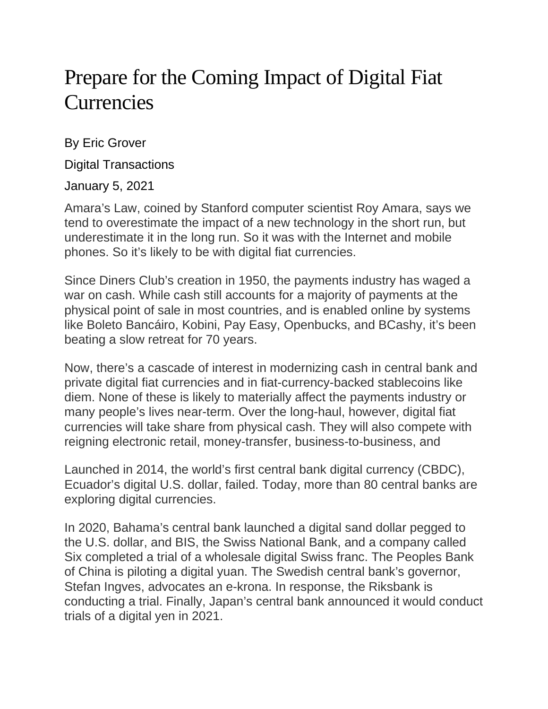## Prepare for the Coming Impact of Digital Fiat Currencies

By Eric Grover

Digital Transactions

January 5, 2021

Amara's Law, coined by Stanford computer scientist Roy Amara, says we tend to overestimate the impact of a new technology in the short run, but underestimate it in the long run. So it was with the Internet and mobile phones. So it's likely to be with digital fiat currencies.

Since Diners Club's creation in 1950, the payments industry has waged a war on cash. While cash still accounts for a majority of payments at the physical point of sale in most countries, and is enabled online by systems like Boleto Bancáiro, Kobini, Pay Easy, Openbucks, and BCashy, it's been beating a slow retreat for 70 years.

Now, there's a cascade of interest in modernizing cash in central bank and private digital fiat currencies and in fiat-currency-backed stablecoins like diem. None of these is likely to materially affect the payments industry or many people's lives near-term. Over the long-haul, however, digital fiat currencies will take share from physical cash. They will also compete with reigning electronic retail, money-transfer, business-to-business, and

Launched in 2014, the world's first central bank digital currency (CBDC), Ecuador's digital U.S. dollar, failed. Today, more than 80 central banks are exploring digital currencies.

In 2020, Bahama's central bank launched a digital sand dollar pegged to the U.S. dollar, and BIS, the Swiss National Bank, and a company called Six completed a trial of a wholesale digital Swiss franc. The Peoples Bank of China is piloting a digital yuan. The Swedish central bank's governor, Stefan Ingves, advocates an e-krona. In response, the Riksbank is conducting a trial. Finally, Japan's central bank announced it would conduct trials of a digital yen in 2021.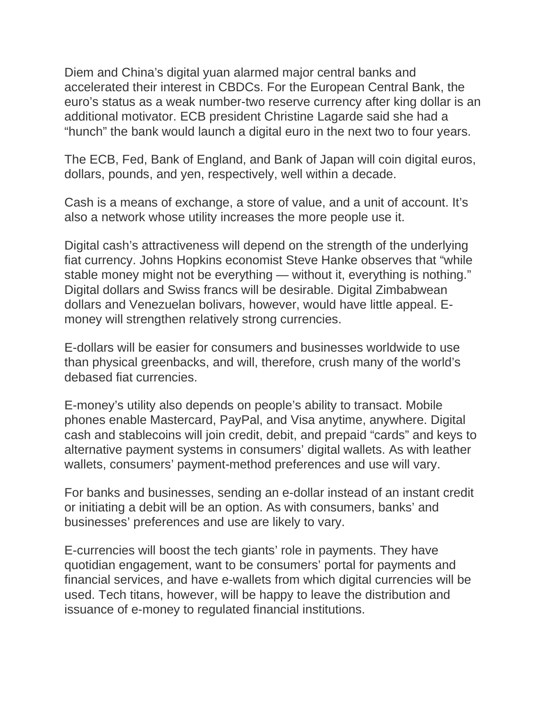Diem and China's digital yuan alarmed major central banks and accelerated their interest in CBDCs. For the European Central Bank, the euro's status as a weak number-two reserve currency after king dollar is an additional motivator. ECB president Christine Lagarde said she had a "hunch" the bank would launch a digital euro in the next two to four years.

The ECB, Fed, Bank of England, and Bank of Japan will coin digital euros, dollars, pounds, and yen, respectively, well within a decade.

Cash is a means of exchange, a store of value, and a unit of account. It's also a network whose utility increases the more people use it.

Digital cash's attractiveness will depend on the strength of the underlying fiat currency. Johns Hopkins economist Steve Hanke observes that "while stable money might not be everything — without it, everything is nothing." Digital dollars and Swiss francs will be desirable. Digital Zimbabwean dollars and Venezuelan bolivars, however, would have little appeal. Emoney will strengthen relatively strong currencies.

E-dollars will be easier for consumers and businesses worldwide to use than physical greenbacks, and will, therefore, crush many of the world's debased fiat currencies.

E-money's utility also depends on people's ability to transact. Mobile phones enable Mastercard, PayPal, and Visa anytime, anywhere. Digital cash and stablecoins will join credit, debit, and prepaid "cards" and keys to alternative payment systems in consumers' digital wallets. As with leather wallets, consumers' payment-method preferences and use will vary.

For banks and businesses, sending an e-dollar instead of an instant credit or initiating a debit will be an option. As with consumers, banks' and businesses' preferences and use are likely to vary.

E-currencies will boost the tech giants' role in payments. They have quotidian engagement, want to be consumers' portal for payments and financial services, and have e-wallets from which digital currencies will be used. Tech titans, however, will be happy to leave the distribution and issuance of e-money to regulated financial institutions.